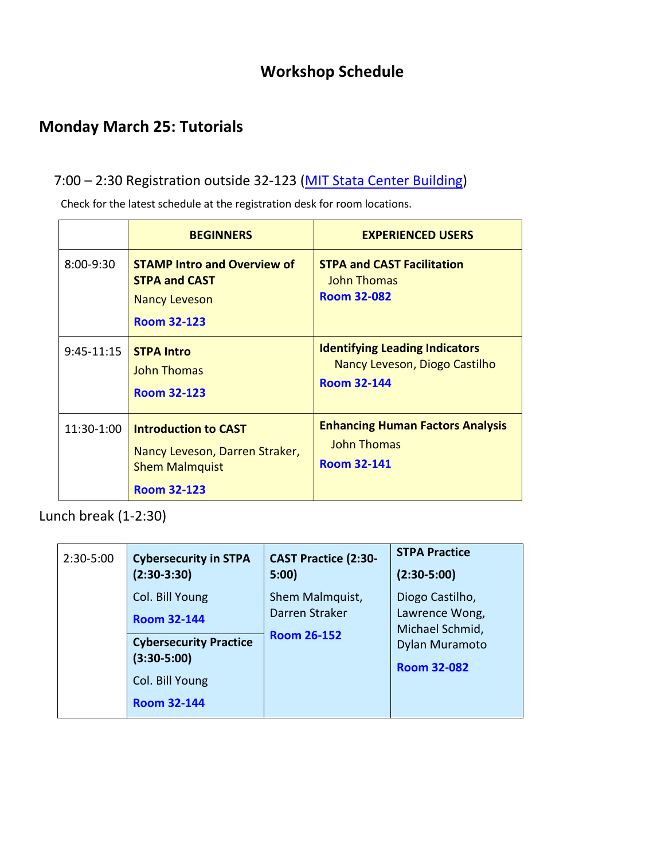## **Workshop Schedule**

## **Monday March 25: Tutorials**

### 7:00 – 2:30 Registration outside 32-123 [\(MIT Stata Center Building\)](https://whereis.mit.edu/?go=32)

Check for the latest schedule at the registration desk for room locations.

|               | <b>BEGINNERS</b>                                                                                             | <b>EXPERIENCED USERS</b>                                                                     |
|---------------|--------------------------------------------------------------------------------------------------------------|----------------------------------------------------------------------------------------------|
| $8:00 - 9:30$ | <b>STAMP Intro and Overview of</b><br><b>STPA and CAST</b><br><b>Nancy Leveson</b><br><b>Room 32-123</b>     | <b>STPA and CAST Facilitation</b><br><b>John Thomas</b><br><b>Room 32-082</b>                |
| $9:45-11:15$  | <b>STPA Intro</b><br><b>John Thomas</b><br><b>Room 32-123</b>                                                | <b>Identifying Leading Indicators</b><br>Nancy Leveson, Diogo Castilho<br><b>Room 32-144</b> |
| 11:30-1:00    | <b>Introduction to CAST</b><br>Nancy Leveson, Darren Straker,<br><b>Shem Malmquist</b><br><b>Room 32-123</b> | <b>Enhancing Human Factors Analysis</b><br><b>John Thomas</b><br><b>Room 32-141</b>          |

Lunch break (1-2:30)

| 2:30-5:00 | <b>Cybersecurity in STPA</b>                                                                                                     | <b>CAST Practice (2:30-</b>                             | <b>STPA Practice</b>                                                                         |
|-----------|----------------------------------------------------------------------------------------------------------------------------------|---------------------------------------------------------|----------------------------------------------------------------------------------------------|
|           | $(2:30-3:30)$                                                                                                                    | 5:00                                                    | $(2:30-5:00)$                                                                                |
|           | Col. Bill Young<br><b>Room 32-144</b><br><b>Cybersecurity Practice</b><br>$(3:30-5:00)$<br>Col. Bill Young<br><b>Room 32-144</b> | Shem Malmquist,<br>Darren Straker<br><b>Room 26-152</b> | Diogo Castilho,<br>Lawrence Wong,<br>Michael Schmid,<br>Dylan Muramoto<br><b>Room 32-082</b> |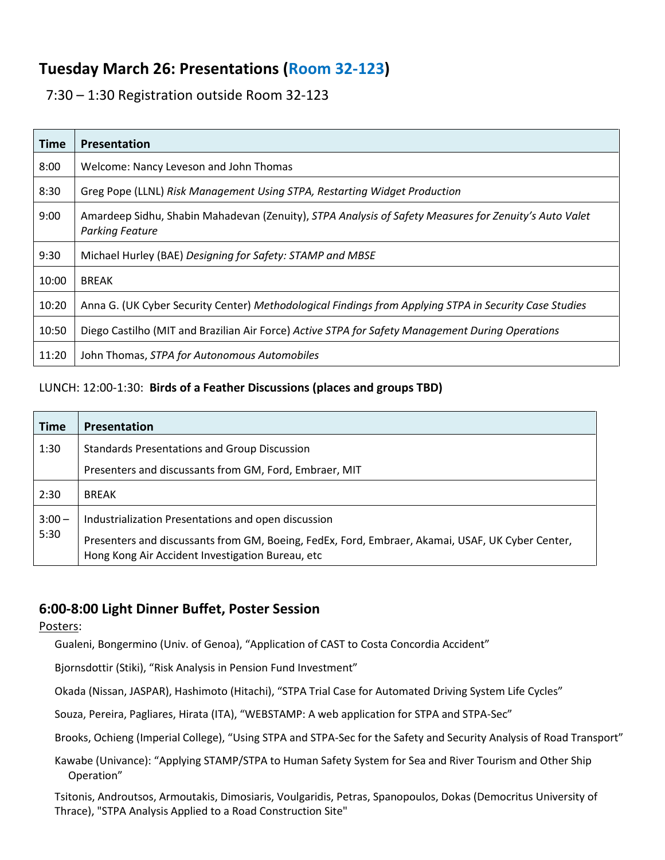## **Tuesday March 26: Presentations (Room 32-123)**

7:30 – 1:30 Registration outside Room 32-123

| <b>Time</b> | Presentation                                                                                                                    |
|-------------|---------------------------------------------------------------------------------------------------------------------------------|
| 8:00        | Welcome: Nancy Leveson and John Thomas                                                                                          |
| 8:30        | Greg Pope (LLNL) Risk Management Using STPA, Restarting Widget Production                                                       |
| 9:00        | Amardeep Sidhu, Shabin Mahadevan (Zenuity), STPA Analysis of Safety Measures for Zenuity's Auto Valet<br><b>Parking Feature</b> |
| 9:30        | Michael Hurley (BAE) Designing for Safety: STAMP and MBSE                                                                       |
| 10:00       | <b>BREAK</b>                                                                                                                    |
| 10:20       | Anna G. (UK Cyber Security Center) Methodological Findings from Applying STPA in Security Case Studies                          |
| 10:50       | Diego Castilho (MIT and Brazilian Air Force) Active STPA for Safety Management During Operations                                |
| 11:20       | John Thomas, STPA for Autonomous Automobiles                                                                                    |

#### LUNCH: 12:00-1:30: **Birds of a Feather Discussions (places and groups TBD)**

| <b>Time</b> | <b>Presentation</b>                                                                                                                                  |
|-------------|------------------------------------------------------------------------------------------------------------------------------------------------------|
| 1:30        | <b>Standards Presentations and Group Discussion</b>                                                                                                  |
|             | Presenters and discussants from GM, Ford, Embraer, MIT                                                                                               |
| 2:30        | <b>BREAK</b>                                                                                                                                         |
| $3:00 -$    | Industrialization Presentations and open discussion                                                                                                  |
| 5:30        | Presenters and discussants from GM, Boeing, FedEx, Ford, Embraer, Akamai, USAF, UK Cyber Center,<br>Hong Kong Air Accident Investigation Bureau, etc |

### **6:00-8:00 Light Dinner Buffet, Poster Session**

#### Posters:

Gualeni, Bongermino (Univ. of Genoa), "Application of CAST to Costa Concordia Accident"

Bjornsdottir (Stiki), "Risk Analysis in Pension Fund Investment"

Okada (Nissan, JASPAR), Hashimoto (Hitachi), "STPA Trial Case for Automated Driving System Life Cycles"

Souza, Pereira, Pagliares, Hirata (ITA), "WEBSTAMP: A web application for STPA and STPA-Sec"

Brooks, Ochieng (Imperial College), "Using STPA and STPA-Sec for the Safety and Security Analysis of Road Transport"

Kawabe (Univance): "Applying STAMP/STPA to Human Safety System for Sea and River Tourism and Other Ship Operation"

Tsitonis, Androutsos, Armoutakis, Dimosiaris, Voulgaridis, Petras, Spanopoulos, Dokas (Democritus University of Thrace), "STPA Analysis Applied to a Road Construction Site"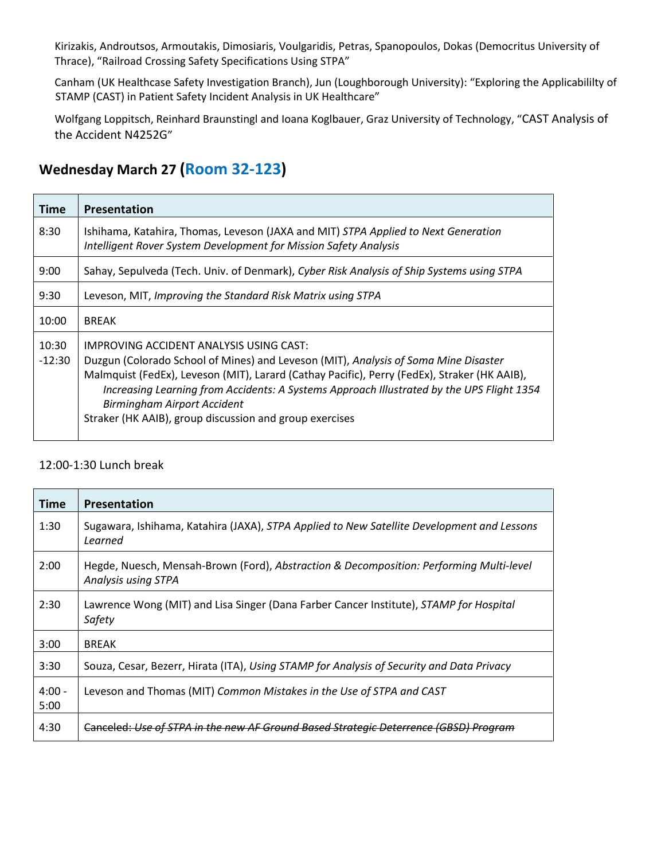Kirizakis, Androutsos, Armoutakis, Dimosiaris, Voulgaridis, Petras, Spanopoulos, Dokas (Democritus University of Thrace), "Railroad Crossing Safety Specifications Using STPA"

Canham (UK Healthcase Safety Investigation Branch), Jun (Loughborough University): "Exploring the Applicabililty of STAMP (CAST) in Patient Safety Incident Analysis in UK Healthcare"

Wolfgang Loppitsch, Reinhard Braunstingl and Ioana Koglbauer, Graz University of Technology, "CAST Analysis of the Accident N4252G"

## **Wednesday March 27 (Room 32-123)**

| Time              | Presentation                                                                                                                                                                                                                                                                                                                                                                                                                 |
|-------------------|------------------------------------------------------------------------------------------------------------------------------------------------------------------------------------------------------------------------------------------------------------------------------------------------------------------------------------------------------------------------------------------------------------------------------|
| 8:30              | Ishihama, Katahira, Thomas, Leveson (JAXA and MIT) STPA Applied to Next Generation<br>Intelligent Rover System Development for Mission Safety Analysis                                                                                                                                                                                                                                                                       |
| 9:00              | Sahay, Sepulveda (Tech. Univ. of Denmark), Cyber Risk Analysis of Ship Systems using STPA                                                                                                                                                                                                                                                                                                                                    |
| 9:30              | Leveson, MIT, Improving the Standard Risk Matrix using STPA                                                                                                                                                                                                                                                                                                                                                                  |
| 10:00             | <b>BREAK</b>                                                                                                                                                                                                                                                                                                                                                                                                                 |
| 10:30<br>$-12:30$ | IMPROVING ACCIDENT ANALYSIS USING CAST:<br>Duzgun (Colorado School of Mines) and Leveson (MIT), Analysis of Soma Mine Disaster<br>Malmquist (FedEx), Leveson (MIT), Larard (Cathay Pacific), Perry (FedEx), Straker (HK AAIB),<br>Increasing Learning from Accidents: A Systems Approach Illustrated by the UPS Flight 1354<br><b>Birmingham Airport Accident</b><br>Straker (HK AAIB), group discussion and group exercises |

#### 12:00-1:30 Lunch break

| Time             | Presentation                                                                                                   |
|------------------|----------------------------------------------------------------------------------------------------------------|
| 1:30             | Sugawara, Ishihama, Katahira (JAXA), STPA Applied to New Satellite Development and Lessons<br>Learned          |
| 2:00             | Hegde, Nuesch, Mensah-Brown (Ford), Abstraction & Decomposition: Performing Multi-level<br>Analysis using STPA |
| 2:30             | Lawrence Wong (MIT) and Lisa Singer (Dana Farber Cancer Institute), STAMP for Hospital<br>Safety               |
| 3:00             | <b>BREAK</b>                                                                                                   |
| 3:30             | Souza, Cesar, Bezerr, Hirata (ITA), Using STAMP for Analysis of Security and Data Privacy                      |
| $4:00 -$<br>5:00 | Leveson and Thomas (MIT) Common Mistakes in the Use of STPA and CAST                                           |
| 4:30             | Canceled: Use of STPA in the new AF Ground Based Strategic Deterrence (GBSD) Program                           |